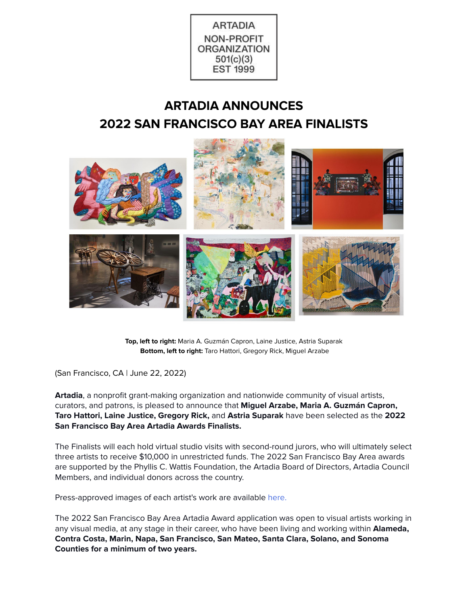

# **ARTADIA ANNOUNCES 2022 SAN FRANCISCO BAY AREA FINALISTS**



**Top, left to right:** Maria A. Guzmán Capron, Laine Justice, Astria Suparak **Bottom, left to right:** Taro Hattori, Gregory Rick, Miguel Arzabe

(San Francisco, CA | June 22, 2022)

**Artadia**, a nonprofit grant-making organization and nationwide community of visual artists, curators, and patrons, is pleased to announce that **Miguel Arzabe, Maria A. Guzmán Capron, Taro Hattori, Laine Justice, Gregory Rick,** and **Astria Suparak** have been selected as the **2022 San Francisco Bay Area Artadia Awards Finalists.**

The Finalists will each hold virtual studio visits with second-round jurors, who will ultimately select three artists to receive \$10,000 in unrestricted funds. The 2022 San Francisco Bay Area awards are supported by the Phyllis C. Wattis Foundation, the Artadia Board of Directors, Artadia Council Members, and individual donors across the country.

Press-approved images of each artist's work are available [here.](https://drive.google.com/drive/folders/1HQcIkekKEMhOjkOgzbvN9pdqL-mi56Tb?usp=sharing)

The 2022 San Francisco Bay Area Artadia Award application was open to visual artists working in any visual media, at any stage in their career, who have been living and working within **Alameda, Contra Costa, Marin, Napa, San Francisco, San Mateo, Santa Clara, Solano, and Sonoma Counties for a minimum of two years.**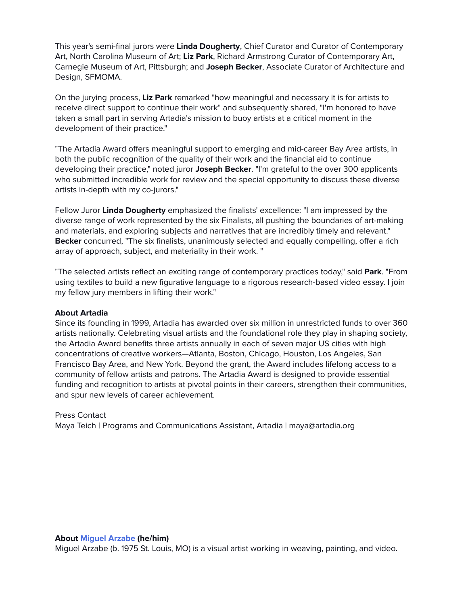This year's semi-final jurors were **Linda Dougherty**, Chief Curator and Curator of Contemporary Art, North Carolina Museum of Art; **Liz Park**, Richard Armstrong Curator of Contemporary Art, Carnegie Museum of Art, Pittsburgh; and **Joseph Becker**, Associate Curator of Architecture and Design, SFMOMA.

On the jurying process, **Liz Park** remarked "how meaningful and necessary it is for artists to receive direct support to continue their work" and subsequently shared, "I'm honored to have taken a small part in serving Artadia's mission to buoy artists at a critical moment in the development of their practice."

"The Artadia Award offers meaningful support to emerging and mid-career Bay Area artists, in both the public recognition of the quality of their work and the financial aid to continue developing their practice," noted juror **Joseph Becker**. "I'm grateful to the over 300 applicants who submitted incredible work for review and the special opportunity to discuss these diverse artists in-depth with my co-jurors."

Fellow Juror **Linda Dougherty** emphasized the finalists' excellence: "I am impressed by the diverse range of work represented by the six Finalists, all pushing the boundaries of art-making and materials, and exploring subjects and narratives that are incredibly timely and relevant." **Becker** concurred, "The six finalists, unanimously selected and equally compelling, offer a rich array of approach, subject, and materiality in their work. "

"The selected artists reflect an exciting range of contemporary practices today," said **Park**. "From using textiles to build a new figurative language to a rigorous research-based video essay. I join my fellow jury members in lifting their work."

#### **About Artadia**

Since its founding in 1999, Artadia has awarded over six million in unrestricted funds to over 360 artists nationally. Celebrating visual artists and the foundational role they play in shaping society, the Artadia Award benefits three artists annually in each of seven major US cities with high concentrations of creative workers—Atlanta, Boston, Chicago, Houston, Los Angeles, San Francisco Bay Area, and New York. Beyond the grant, the Award includes lifelong access to a community of fellow artists and patrons. The Artadia Award is designed to provide essential funding and recognition to artists at pivotal points in their careers, strengthen their communities, and spur new levels of career achievement.

#### Press Contact

Maya Teich | Programs and Communications Assistant, Artadia | maya@artadia.org

#### **About Miguel [Arzabe](http://www.miguelarzabe.com/) (he/him)**

Miguel Arzabe (b. 1975 St. Louis, MO) is a visual artist working in weaving, painting, and video.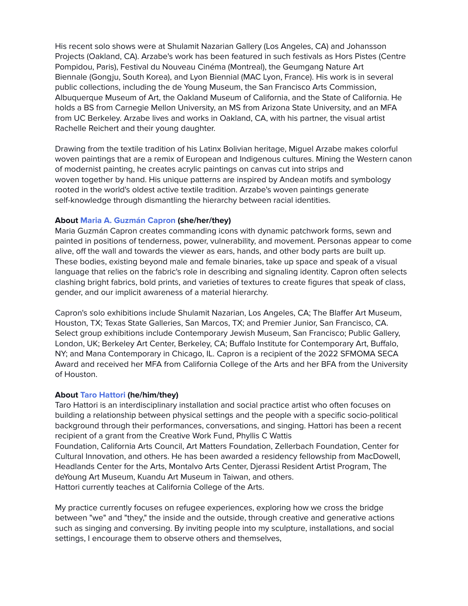His recent solo shows were at Shulamit Nazarian Gallery (Los Angeles, CA) and Johansson Projects (Oakland, CA). Arzabe's work has been featured in such festivals as Hors Pistes (Centre Pompidou, Paris), Festival du Nouveau Cinéma (Montreal), the Geumgang Nature Art Biennale (Gongju, South Korea), and Lyon Biennial (MAC Lyon, France). His work is in several public collections, including the de Young Museum, the San Francisco Arts Commission, Albuquerque Museum of Art, the Oakland Museum of California, and the State of California. He holds a BS from Carnegie Mellon University, an MS from Arizona State University, and an MFA from UC Berkeley. Arzabe lives and works in Oakland, CA, with his partner, the visual artist Rachelle Reichert and their young daughter.

Drawing from the textile tradition of his Latinx Bolivian heritage, Miguel Arzabe makes colorful woven paintings that are a remix of European and Indigenous cultures. Mining the Western canon of modernist painting, he creates acrylic paintings on canvas cut into strips and woven together by hand. His unique patterns are inspired by Andean motifs and symbology rooted in the world's oldest active textile tradition. Arzabe's woven paintings generate self-knowledge through dismantling the hierarchy between racial identities.

## **About Maria A. [Guzmán](http://mariaaguzman.com/) Capron (she/her/they)**

Maria Guzmán Capron creates commanding icons with dynamic patchwork forms, sewn and painted in positions of tenderness, power, vulnerability, and movement. Personas appear to come alive, off the wall and towards the viewer as ears, hands, and other body parts are built up. These bodies, existing beyond male and female binaries, take up space and speak of a visual language that relies on the fabric's role in describing and signaling identity. Capron often selects clashing bright fabrics, bold prints, and varieties of textures to create figures that speak of class, gender, and our implicit awareness of a material hierarchy.

Capron's solo exhibitions include Shulamit Nazarian, Los Angeles, CA; The Blaffer Art Museum, Houston, TX; Texas State Galleries, San Marcos, TX; and Premier Junior, San Francisco, CA. Select group exhibitions include Contemporary Jewish Museum, San Francisco; Public Gallery, London, UK; Berkeley Art Center, Berkeley, CA; Buffalo Institute for Contemporary Art, Buffalo, NY; and Mana Contemporary in Chicago, IL. Capron is a recipient of the 2022 SFMOMA SECA Award and received her MFA from California College of the Arts and her BFA from the University of Houston.

## **About Taro [Hattori](http://www.tarohattori.com/) (he/him/they)**

Taro Hattori is an interdisciplinary installation and social practice artist who often focuses on building a relationship between physical settings and the people with a specific socio-political background through their performances, conversations, and singing. Hattori has been a recent recipient of a grant from the Creative Work Fund, Phyllis C Wattis Foundation, California Arts Council, Art Matters Foundation, Zellerbach Foundation, Center for Cultural Innovation, and others. He has been awarded a residency fellowship from MacDowell, Headlands Center for the Arts, Montalvo Arts Center, Djerassi Resident Artist Program, The deYoung Art Museum, Kuandu Art Museum in Taiwan, and others. Hattori currently teaches at California College of the Arts.

My practice currently focuses on refugee experiences, exploring how we cross the bridge between "we" and "they," the inside and the outside, through creative and generative actions such as singing and conversing. By inviting people into my sculpture, installations, and social settings, I encourage them to observe others and themselves,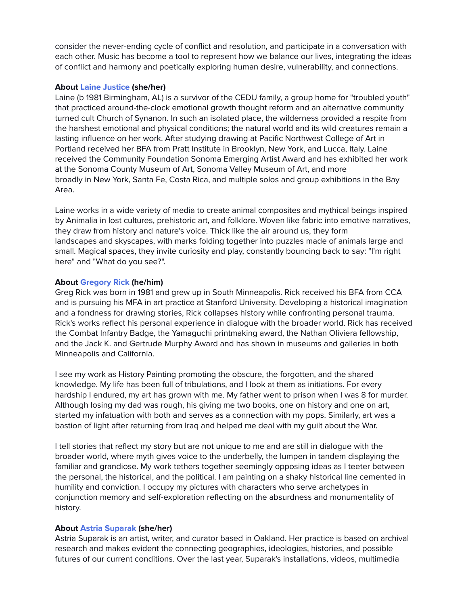consider the never-ending cycle of conflict and resolution, and participate in a conversation with each other. Music has become a tool to represent how we balance our lives, integrating the ideas of conflict and harmony and poetically exploring human desire, vulnerability, and connections.

#### **About Laine [Justice](http://lainejustice.com/) (she/her)**

Laine (b 1981 Birmingham, AL) is a survivor of the CEDU family, a group home for "troubled youth" that practiced around-the-clock emotional growth thought reform and an alternative community turned cult Church of Synanon. In such an isolated place, the wilderness provided a respite from the harshest emotional and physical conditions; the natural world and its wild creatures remain a lasting influence on her work. After studying drawing at Pacific Northwest College of Art in Portland received her BFA from Pratt Institute in Brooklyn, New York, and Lucca, Italy. Laine received the Community Foundation Sonoma Emerging Artist Award and has exhibited her work at the Sonoma County Museum of Art, Sonoma Valley Museum of Art, and more broadly in New York, Santa Fe, Costa Rica, and multiple solos and group exhibitions in the Bay Area.

Laine works in a wide variety of media to create animal composites and mythical beings inspired by Animalia in lost cultures, prehistoric art, and folklore. Woven like fabric into emotive narratives, they draw from history and nature's voice. Thick like the air around us, they form landscapes and skyscapes, with marks folding together into puzzles made of animals large and small. Magical spaces, they invite curiosity and play, constantly bouncing back to say: "I'm right here" and "What do you see?".

## **About [Gregory](https://www.gregoryrick.com/) Rick (he/him)**

Greg Rick was born in 1981 and grew up in South Minneapolis. Rick received his BFA from CCA and is pursuing his MFA in art practice at Stanford University. Developing a historical imagination and a fondness for drawing stories, Rick collapses history while confronting personal trauma. Rick's works reflect his personal experience in dialogue with the broader world. Rick has received the Combat Infantry Badge, the Yamaguchi printmaking award, the Nathan Oliviera fellowship, and the Jack K. and Gertrude Murphy Award and has shown in museums and galleries in both Minneapolis and California.

I see my work as History Painting promoting the obscure, the forgotten, and the shared knowledge. My life has been full of tribulations, and I look at them as initiations. For every hardship I endured, my art has grown with me. My father went to prison when I was 8 for murder. Although losing my dad was rough, his giving me two books, one on history and one on art, started my infatuation with both and serves as a connection with my pops. Similarly, art was a bastion of light after returning from Iraq and helped me deal with my guilt about the War.

I tell stories that reflect my story but are not unique to me and are still in dialogue with the broader world, where myth gives voice to the underbelly, the lumpen in tandem displaying the familiar and grandiose. My work tethers together seemingly opposing ideas as I teeter between the personal, the historical, and the political. I am painting on a shaky historical line cemented in humility and conviction. I occupy my pictures with characters who serve archetypes in conjunction memory and self-exploration reflecting on the absurdness and monumentality of history.

## **About Astria [Suparak](https://astriasuparak.com/) (she/her)**

Astria Suparak is an artist, writer, and curator based in Oakland. Her practice is based on archival research and makes evident the connecting geographies, ideologies, histories, and possible futures of our current conditions. Over the last year, Suparak's installations, videos, multimedia